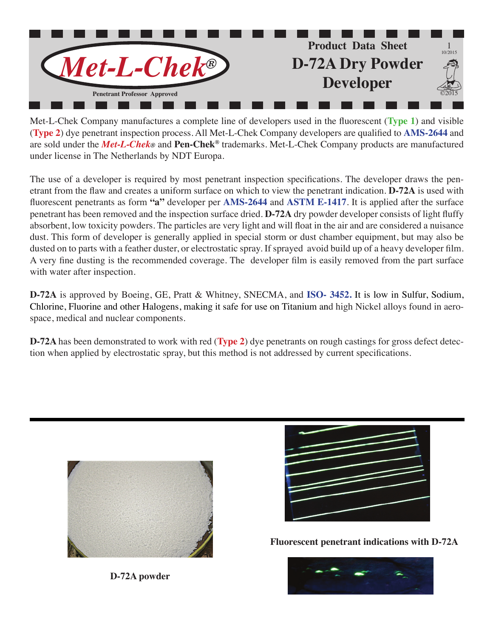

Met-L-Chek Company manufactures a complete line of developers used in the fluorescent (**Type 1**) and visible (**Type 2**) dye penetrant inspection process. All Met-L-Chek Company developers are qualified to **AMS-2644** and are sold under the *Met-L-Chek®* and **Pen-Chek®** trademarks. Met-L-Chek Company products are manufactured under license in The Netherlands by NDT Europa.

The use of a developer is required by most penetrant inspection specifications. The developer draws the penetrant from the flaw and creates a uniform surface on which to view the penetrant indication. **D-72A** is used with fluorescent penetrants as form **"a"** developer per **AMS-2644** and **ASTM E-1417**. It is applied after the surface penetrant has been removed and the inspection surface dried. **D-72A** dry powder developer consists of light fluffy absorbent, low toxicity powders. The particles are very light and will float in the air and are considered a nuisance dust. This form of developer is generally applied in special storm or dust chamber equipment, but may also be dusted on to parts with a feather duster, or electrostatic spray. If sprayed avoid build up of a heavy developer film. A very fine dusting is the recommended coverage. The developer film is easily removed from the part surface with water after inspection.

**D-72A** is approved by Boeing, GE, Pratt & Whitney, SNECMA, and **ISO- 3452.** It is low in Sulfur, Sodium, Chlorine, Fluorine and other Halogens, making it safe for use on Titanium and high Nickel alloys found in aerospace, medical and nuclear components.

**D-72A** has been demonstrated to work with red (**Type 2**) dye penetrants on rough castings for gross defect detection when applied by electrostatic spray, but this method is not addressed by current specifications.



**D-72A powder**



**Fluorescent penetrant indications with D-72A**